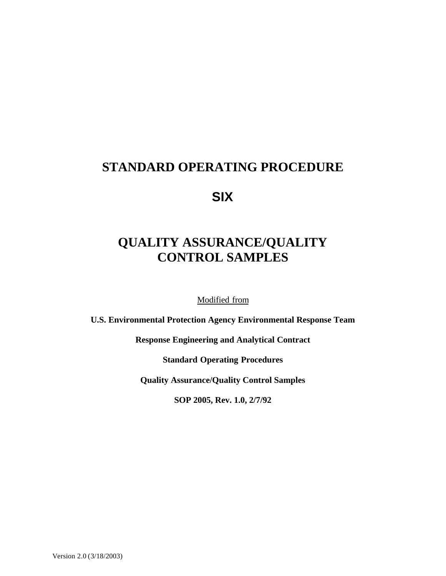## **STANDARD OPERATING PROCEDURE**

**SIX**

# **QUALITY ASSURANCE/QUALITY CONTROL SAMPLES**

Modified from

**U.S. Environmental Protection Agency Environmental Response Team**

**Response Engineering and Analytical Contract**

**Standard Operating Procedures**

**Quality Assurance/Quality Control Samples**

**SOP 2005, Rev. 1.0, 2/7/92**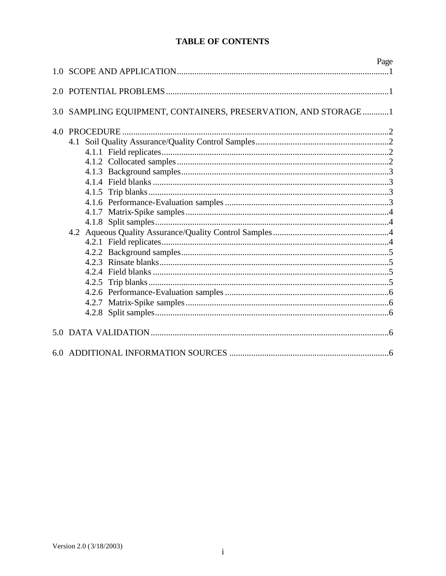## **TABLE OF CONTENTS**

| 1 Q | Page                                                       |
|-----|------------------------------------------------------------|
|     |                                                            |
| 3.0 | SAMPLING EQUIPMENT, CONTAINERS, PRESERVATION, AND STORAGE1 |
| 4.0 |                                                            |
|     |                                                            |
|     |                                                            |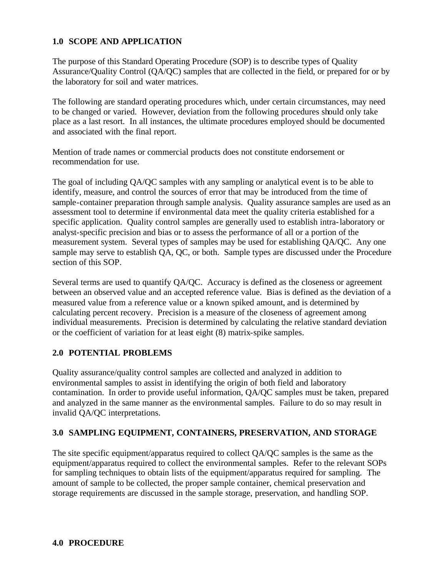#### **1.0 SCOPE AND APPLICATION**

The purpose of this Standard Operating Procedure (SOP) is to describe types of Quality Assurance/Quality Control (QA/QC) samples that are collected in the field, or prepared for or by the laboratory for soil and water matrices.

The following are standard operating procedures which, under certain circumstances, may need to be changed or varied. However, deviation from the following procedures should only take place as a last resort. In all instances, the ultimate procedures employed should be documented and associated with the final report.

Mention of trade names or commercial products does not constitute endorsement or recommendation for use.

The goal of including QA/QC samples with any sampling or analytical event is to be able to identify, measure, and control the sources of error that may be introduced from the time of sample-container preparation through sample analysis. Quality assurance samples are used as an assessment tool to determine if environmental data meet the quality criteria established for a specific application. Quality control samples are generally used to establish intra-laboratory or analyst-specific precision and bias or to assess the performance of all or a portion of the measurement system. Several types of samples may be used for establishing QA/QC. Any one sample may serve to establish QA, QC, or both. Sample types are discussed under the Procedure section of this SOP.

Several terms are used to quantify QA/QC. Accuracy is defined as the closeness or agreement between an observed value and an accepted reference value. Bias is defined as the deviation of a measured value from a reference value or a known spiked amount, and is determined by calculating percent recovery. Precision is a measure of the closeness of agreement among individual measurements. Precision is determined by calculating the relative standard deviation or the coefficient of variation for at least eight (8) matrix-spike samples.

#### **2.0 POTENTIAL PROBLEMS**

Quality assurance/quality control samples are collected and analyzed in addition to environmental samples to assist in identifying the origin of both field and laboratory contamination. In order to provide useful information, QA/QC samples must be taken, prepared and analyzed in the same manner as the environmental samples. Failure to do so may result in invalid QA/QC interpretations.

#### **3.0 SAMPLING EQUIPMENT, CONTAINERS, PRESERVATION, AND STORAGE**

The site specific equipment/apparatus required to collect QA/QC samples is the same as the equipment/apparatus required to collect the environmental samples. Refer to the relevant SOPs for sampling techniques to obtain lists of the equipment/apparatus required for sampling. The amount of sample to be collected, the proper sample container, chemical preservation and storage requirements are discussed in the sample storage, preservation, and handling SOP.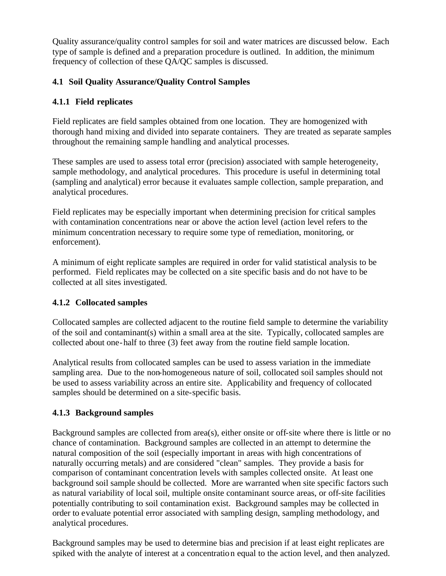Quality assurance/quality control samples for soil and water matrices are discussed below. Each type of sample is defined and a preparation procedure is outlined. In addition, the minimum frequency of collection of these QA/QC samples is discussed.

## **4.1 Soil Quality Assurance/Quality Control Samples**

## **4.1.1 Field replicates**

Field replicates are field samples obtained from one location. They are homogenized with thorough hand mixing and divided into separate containers. They are treated as separate samples throughout the remaining sample handling and analytical processes.

These samples are used to assess total error (precision) associated with sample heterogeneity, sample methodology, and analytical procedures. This procedure is useful in determining total (sampling and analytical) error because it evaluates sample collection, sample preparation, and analytical procedures.

Field replicates may be especially important when determining precision for critical samples with contamination concentrations near or above the action level (action level refers to the minimum concentration necessary to require some type of remediation, monitoring, or enforcement).

A minimum of eight replicate samples are required in order for valid statistical analysis to be performed. Field replicates may be collected on a site specific basis and do not have to be collected at all sites investigated.

## **4.1.2 Collocated samples**

Collocated samples are collected adjacent to the routine field sample to determine the variability of the soil and contaminant(s) within a small area at the site. Typically, collocated samples are collected about one-half to three (3) feet away from the routine field sample location.

Analytical results from collocated samples can be used to assess variation in the immediate sampling area. Due to the non-homogeneous nature of soil, collocated soil samples should not be used to assess variability across an entire site. Applicability and frequency of collocated samples should be determined on a site-specific basis.

## **4.1.3 Background samples**

Background samples are collected from area(s), either onsite or off-site where there is little or no chance of contamination. Background samples are collected in an attempt to determine the natural composition of the soil (especially important in areas with high concentrations of naturally occurring metals) and are considered "clean" samples. They provide a basis for comparison of contaminant concentration levels with samples collected onsite. At least one background soil sample should be collected. More are warranted when site specific factors such as natural variability of local soil, multiple onsite contaminant source areas, or off-site facilities potentially contributing to soil contamination exist. Background samples may be collected in order to evaluate potential error associated with sampling design, sampling methodology, and analytical procedures.

Background samples may be used to determine bias and precision if at least eight replicates are spiked with the analyte of interest at a concentration equal to the action level, and then analyzed.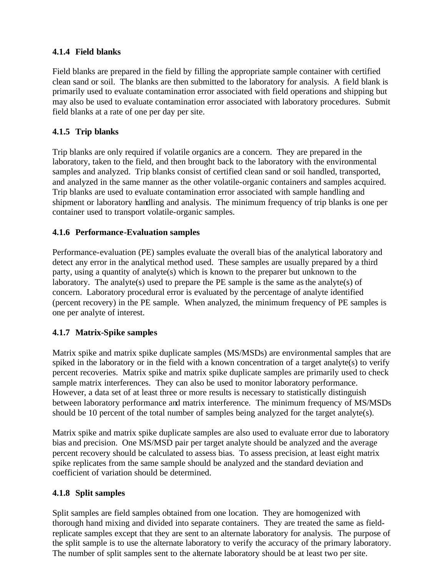#### **4.1.4 Field blanks**

Field blanks are prepared in the field by filling the appropriate sample container with certified clean sand or soil. The blanks are then submitted to the laboratory for analysis. A field blank is primarily used to evaluate contamination error associated with field operations and shipping but may also be used to evaluate contamination error associated with laboratory procedures. Submit field blanks at a rate of one per day per site.

## **4.1.5 Trip blanks**

Trip blanks are only required if volatile organics are a concern. They are prepared in the laboratory, taken to the field, and then brought back to the laboratory with the environmental samples and analyzed. Trip blanks consist of certified clean sand or soil handled, transported, and analyzed in the same manner as the other volatile-organic containers and samples acquired. Trip blanks are used to evaluate contamination error associated with sample handling and shipment or laboratory handling and analysis. The minimum frequency of trip blanks is one per container used to transport volatile-organic samples.

#### **4.1.6 Performance-Evaluation samples**

Performance-evaluation (PE) samples evaluate the overall bias of the analytical laboratory and detect any error in the analytical method used. These samples are usually prepared by a third party, using a quantity of analyte(s) which is known to the preparer but unknown to the laboratory. The analyte(s) used to prepare the PE sample is the same as the analyte(s) of concern. Laboratory procedural error is evaluated by the percentage of analyte identified (percent recovery) in the PE sample. When analyzed, the minimum frequency of PE samples is one per analyte of interest.

## **4.1.7 Matrix-Spike samples**

Matrix spike and matrix spike duplicate samples (MS/MSDs) are environmental samples that are spiked in the laboratory or in the field with a known concentration of a target analyte(s) to verify percent recoveries. Matrix spike and matrix spike duplicate samples are primarily used to check sample matrix interferences. They can also be used to monitor laboratory performance. However, a data set of at least three or more results is necessary to statistically distinguish between laboratory performance and matrix interference. The minimum frequency of MS/MSDs should be 10 percent of the total number of samples being analyzed for the target analyte(s).

Matrix spike and matrix spike duplicate samples are also used to evaluate error due to laboratory bias and precision. One MS/MSD pair per target analyte should be analyzed and the average percent recovery should be calculated to assess bias. To assess precision, at least eight matrix spike replicates from the same sample should be analyzed and the standard deviation and coefficient of variation should be determined.

#### **4.1.8 Split samples**

Split samples are field samples obtained from one location. They are homogenized with thorough hand mixing and divided into separate containers. They are treated the same as fieldreplicate samples except that they are sent to an alternate laboratory for analysis. The purpose of the split sample is to use the alternate laboratory to verify the accuracy of the primary laboratory. The number of split samples sent to the alternate laboratory should be at least two per site.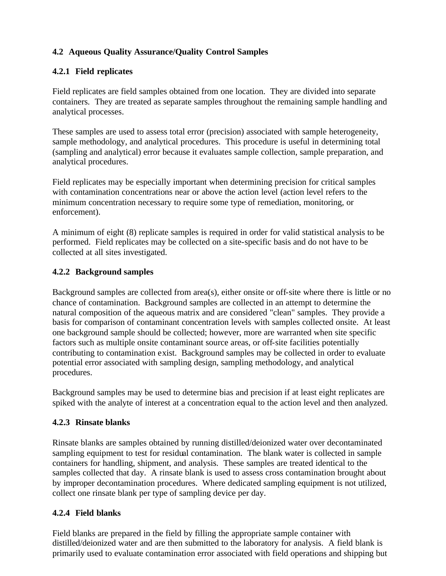## **4.2 Aqueous Quality Assurance/Quality Control Samples**

#### **4.2.1 Field replicates**

Field replicates are field samples obtained from one location. They are divided into separate containers. They are treated as separate samples throughout the remaining sample handling and analytical processes.

These samples are used to assess total error (precision) associated with sample heterogeneity, sample methodology, and analytical procedures. This procedure is useful in determining total (sampling and analytical) error because it evaluates sample collection, sample preparation, and analytical procedures.

Field replicates may be especially important when determining precision for critical samples with contamination concentrations near or above the action level (action level refers to the minimum concentration necessary to require some type of remediation, monitoring, or enforcement).

A minimum of eight (8) replicate samples is required in order for valid statistical analysis to be performed. Field replicates may be collected on a site-specific basis and do not have to be collected at all sites investigated.

#### **4.2.2 Background samples**

Background samples are collected from area(s), either onsite or off-site where there is little or no chance of contamination. Background samples are collected in an attempt to determine the natural composition of the aqueous matrix and are considered "clean" samples. They provide a basis for comparison of contaminant concentration levels with samples collected onsite. At least one background sample should be collected; however, more are warranted when site specific factors such as multiple onsite contaminant source areas, or off-site facilities potentially contributing to contamination exist. Background samples may be collected in order to evaluate potential error associated with sampling design, sampling methodology, and analytical procedures.

Background samples may be used to determine bias and precision if at least eight replicates are spiked with the analyte of interest at a concentration equal to the action level and then analyzed.

#### **4.2.3 Rinsate blanks**

Rinsate blanks are samples obtained by running distilled/deionized water over decontaminated sampling equipment to test for residual contamination. The blank water is collected in sample containers for handling, shipment, and analysis. These samples are treated identical to the samples collected that day. A rinsate blank is used to assess cross contamination brought about by improper decontamination procedures. Where dedicated sampling equipment is not utilized, collect one rinsate blank per type of sampling device per day.

#### **4.2.4 Field blanks**

Field blanks are prepared in the field by filling the appropriate sample container with distilled/deionized water and are then submitted to the laboratory for analysis. A field blank is primarily used to evaluate contamination error associated with field operations and shipping but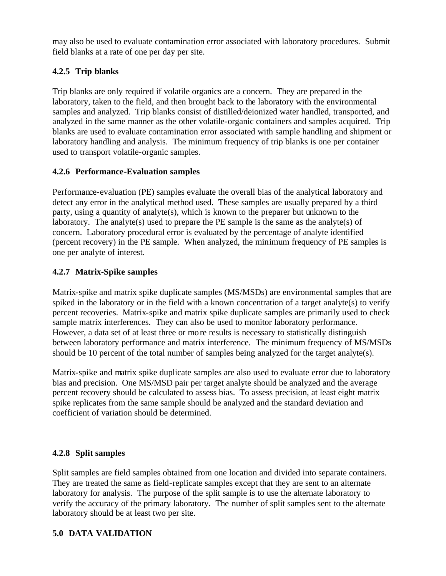may also be used to evaluate contamination error associated with laboratory procedures. Submit field blanks at a rate of one per day per site.

## **4.2.5 Trip blanks**

Trip blanks are only required if volatile organics are a concern. They are prepared in the laboratory, taken to the field, and then brought back to the laboratory with the environmental samples and analyzed. Trip blanks consist of distilled/deionized water handled, transported, and analyzed in the same manner as the other volatile-organic containers and samples acquired. Trip blanks are used to evaluate contamination error associated with sample handling and shipment or laboratory handling and analysis. The minimum frequency of trip blanks is one per container used to transport volatile-organic samples.

#### **4.2.6 Performance-Evaluation samples**

Performance-evaluation (PE) samples evaluate the overall bias of the analytical laboratory and detect any error in the analytical method used. These samples are usually prepared by a third party, using a quantity of analyte(s), which is known to the preparer but unknown to the laboratory. The analyte(s) used to prepare the PE sample is the same as the analyte(s) of concern. Laboratory procedural error is evaluated by the percentage of analyte identified (percent recovery) in the PE sample. When analyzed, the minimum frequency of PE samples is one per analyte of interest.

#### **4.2.7 Matrix-Spike samples**

Matrix-spike and matrix spike duplicate samples (MS/MSDs) are environmental samples that are spiked in the laboratory or in the field with a known concentration of a target analyte(s) to verify percent recoveries. Matrix-spike and matrix spike duplicate samples are primarily used to check sample matrix interferences. They can also be used to monitor laboratory performance. However, a data set of at least three or more results is necessary to statistically distinguish between laboratory performance and matrix interference. The minimum frequency of MS/MSDs should be 10 percent of the total number of samples being analyzed for the target analyte(s).

Matrix-spike and matrix spike duplicate samples are also used to evaluate error due to laboratory bias and precision. One MS/MSD pair per target analyte should be analyzed and the average percent recovery should be calculated to assess bias. To assess precision, at least eight matrix spike replicates from the same sample should be analyzed and the standard deviation and coefficient of variation should be determined.

#### **4.2.8 Split samples**

Split samples are field samples obtained from one location and divided into separate containers. They are treated the same as field-replicate samples except that they are sent to an alternate laboratory for analysis. The purpose of the split sample is to use the alternate laboratory to verify the accuracy of the primary laboratory. The number of split samples sent to the alternate laboratory should be at least two per site.

#### **5.0 DATA VALIDATION**